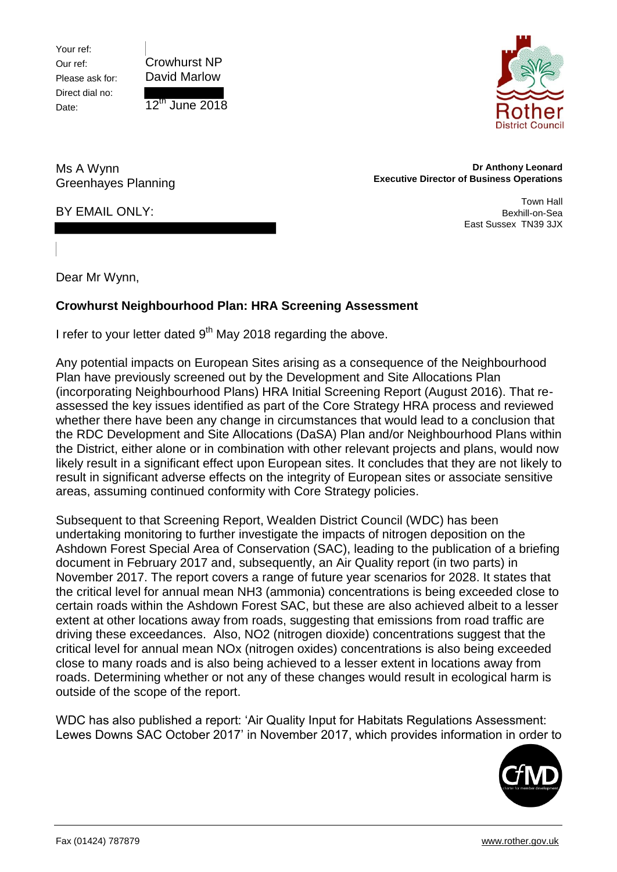Your ref: Our ref: Please ask for: Direct dial no: Date:





Ms A Wynn Greenhayes Planning

## **Dr Anthony Leonard Executive Director of Business Operations**

Town Hall Bexhill-on-Sea East Sussex TN39 3JX

BY EMAIL ONLY:

Dear Mr Wynn,

## **Crowhurst Neighbourhood Plan: HRA Screening Assessment**

I refer to your letter dated 9<sup>th</sup> May 2018 regarding the above.

Any potential impacts on European Sites arising as a consequence of the Neighbourhood Plan have previously screened out by the Development and Site Allocations Plan (incorporating Neighbourhood Plans) HRA Initial Screening Report (August 2016). That reassessed the key issues identified as part of the Core Strategy HRA process and reviewed whether there have been any change in circumstances that would lead to a conclusion that the RDC Development and Site Allocations (DaSA) Plan and/or Neighbourhood Plans within the District, either alone or in combination with other relevant projects and plans, would now likely result in a significant effect upon European sites. It concludes that they are not likely to result in significant adverse effects on the integrity of European sites or associate sensitive areas, assuming continued conformity with Core Strategy policies.

Subsequent to that Screening Report, Wealden District Council (WDC) has been undertaking monitoring to further investigate the impacts of nitrogen deposition on the Ashdown Forest Special Area of Conservation (SAC), leading to the publication of a briefing document in February 2017 and, subsequently, an Air Quality report (in two parts) in November 2017. The report covers a range of future year scenarios for 2028. It states that the critical level for annual mean NH3 (ammonia) concentrations is being exceeded close to certain roads within the Ashdown Forest SAC, but these are also achieved albeit to a lesser extent at other locations away from roads, suggesting that emissions from road traffic are driving these exceedances. Also, NO2 (nitrogen dioxide) concentrations suggest that the critical level for annual mean NOx (nitrogen oxides) concentrations is also being exceeded close to many roads and is also being achieved to a lesser extent in locations away from roads. Determining whether or not any of these changes would result in ecological harm is outside of the scope of the report.

WDC has also published a report: 'Air Quality Input for Habitats Regulations Assessment: Lewes Downs SAC October 2017' in November 2017, which provides information in order to

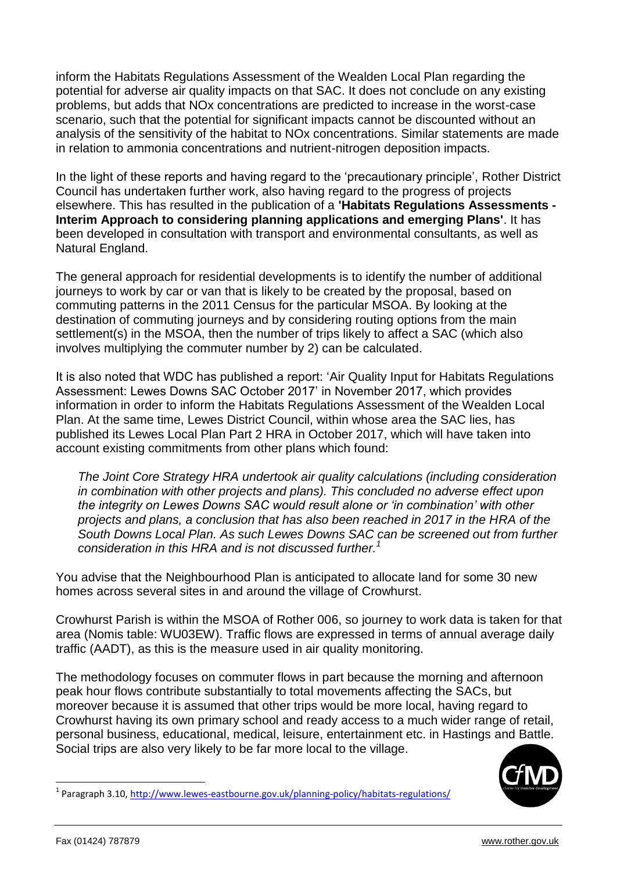inform the Habitats Regulations Assessment of the Wealden Local Plan regarding the potential for adverse air quality impacts on that SAC. It does not conclude on any existing problems, but adds that NOx concentrations are predicted to increase in the worst-case scenario, such that the potential for significant impacts cannot be discounted without an analysis of the sensitivity of the habitat to NOx concentrations. Similar statements are made in relation to ammonia concentrations and nutrient-nitrogen deposition impacts.

In the light of these reports and having regard to the 'precautionary principle', Rother District Council has undertaken further work, also having regard to the progress of projects elsewhere. This has resulted in the publication of a **'Habitats Regulations Assessments - Interim Approach to considering planning applications and emerging Plans'**. It has been developed in consultation with transport and environmental consultants, as well as Natural England.

The general approach for residential developments is to identify the number of additional journeys to work by car or van that is likely to be created by the proposal, based on commuting patterns in the 2011 Census for the particular MSOA. By looking at the destination of commuting journeys and by considering routing options from the main settlement(s) in the MSOA, then the number of trips likely to affect a SAC (which also involves multiplying the commuter number by 2) can be calculated.

It is also noted that WDC has published a report: 'Air Quality Input for Habitats Regulations Assessment: Lewes Downs SAC October 2017' in November 2017, which provides information in order to inform the Habitats Regulations Assessment of the Wealden Local Plan. At the same time, Lewes District Council, within whose area the SAC lies, has published its Lewes Local Plan Part 2 HRA in October 2017, which will have taken into account existing commitments from other plans which found:

*The Joint Core Strategy HRA undertook air quality calculations (including consideration in combination with other projects and plans). This concluded no adverse effect upon the integrity on Lewes Downs SAC would result alone or 'in combination' with other projects and plans, a conclusion that has also been reached in 2017 in the HRA of the South Downs Local Plan. As such Lewes Downs SAC can be screened out from further consideration in this HRA and is not discussed further.<sup>1</sup>*

You advise that the Neighbourhood Plan is anticipated to allocate land for some 30 new homes across several sites in and around the village of Crowhurst.

Crowhurst Parish is within the MSOA of Rother 006, so journey to work data is taken for that area (Nomis table: WU03EW). Traffic flows are expressed in terms of annual average daily traffic (AADT), as this is the measure used in air quality monitoring.

The methodology focuses on commuter flows in part because the morning and afternoon peak hour flows contribute substantially to total movements affecting the SACs, but moreover because it is assumed that other trips would be more local, having regard to Crowhurst having its own primary school and ready access to a much wider range of retail, personal business, educational, medical, leisure, entertainment etc. in Hastings and Battle. Social trips are also very likely to be far more local to the village.



<sup>&</sup>lt;sup>1</sup> Paragraph 3.10, http://www.lewes-eastbourne.gov.uk/planning-policy/habitats-regulations/